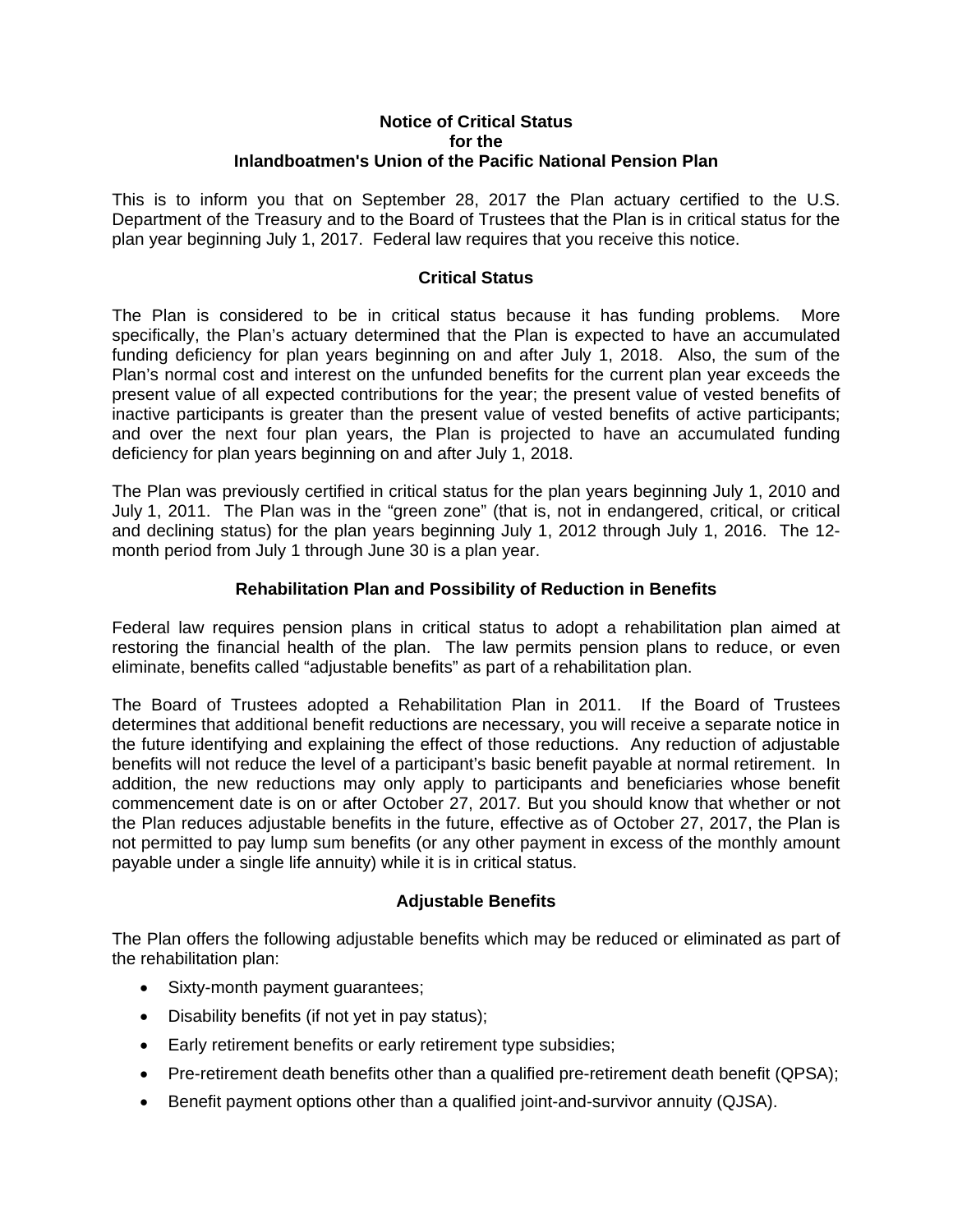#### **Notice of Critical Status for the Inlandboatmen's Union of the Pacific National Pension Plan**

This is to inform you that on September 28, 2017 the Plan actuary certified to the U.S. Department of the Treasury and to the Board of Trustees that the Plan is in critical status for the plan year beginning July 1, 2017. Federal law requires that you receive this notice.

# **Critical Status**

The Plan is considered to be in critical status because it has funding problems. More specifically, the Plan's actuary determined that the Plan is expected to have an accumulated funding deficiency for plan years beginning on and after July 1, 2018. Also, the sum of the Plan's normal cost and interest on the unfunded benefits for the current plan year exceeds the present value of all expected contributions for the year; the present value of vested benefits of inactive participants is greater than the present value of vested benefits of active participants; and over the next four plan years, the Plan is projected to have an accumulated funding deficiency for plan years beginning on and after July 1, 2018.

The Plan was previously certified in critical status for the plan years beginning July 1, 2010 and July 1, 2011. The Plan was in the "green zone" (that is, not in endangered, critical, or critical and declining status) for the plan years beginning July 1, 2012 through July 1, 2016. The 12 month period from July 1 through June 30 is a plan year.

# **Rehabilitation Plan and Possibility of Reduction in Benefits**

Federal law requires pension plans in critical status to adopt a rehabilitation plan aimed at restoring the financial health of the plan. The law permits pension plans to reduce, or even eliminate, benefits called "adjustable benefits" as part of a rehabilitation plan.

The Board of Trustees adopted a Rehabilitation Plan in 2011. If the Board of Trustees determines that additional benefit reductions are necessary, you will receive a separate notice in the future identifying and explaining the effect of those reductions. Any reduction of adjustable benefits will not reduce the level of a participant's basic benefit payable at normal retirement. In addition, the new reductions may only apply to participants and beneficiaries whose benefit commencement date is on or after October 27, 2017*.* But you should know that whether or not the Plan reduces adjustable benefits in the future, effective as of October 27, 2017, the Plan is not permitted to pay lump sum benefits (or any other payment in excess of the monthly amount payable under a single life annuity) while it is in critical status.

#### **Adjustable Benefits**

The Plan offers the following adjustable benefits which may be reduced or eliminated as part of the rehabilitation plan:

- Sixty-month payment guarantees;
- Disability benefits (if not yet in pay status);
- Early retirement benefits or early retirement type subsidies;
- Pre-retirement death benefits other than a qualified pre-retirement death benefit (QPSA);
- Benefit payment options other than a qualified joint-and-survivor annuity (QJSA).